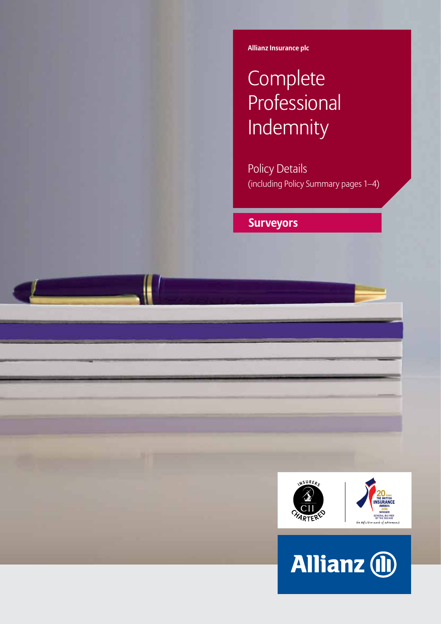**Allianz Insurance plc**

# **Complete Professional** Indemnity

Policy Details (including Policy Summary pages 1–4)

# **Surveyors**



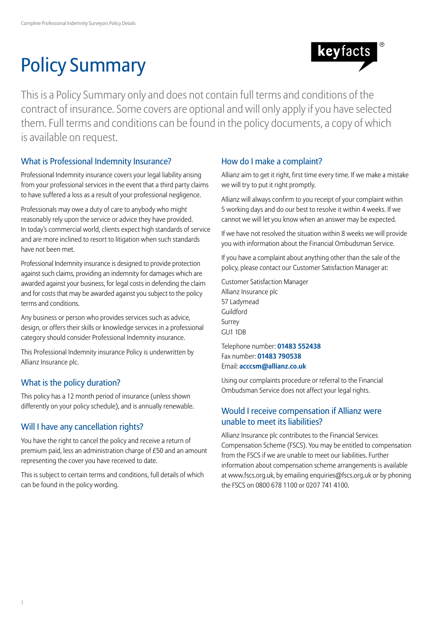# Policy Summary



This is a Policy Summary only and does not contain full terms and conditions of the contract of insurance. Some covers are optional and will only apply if you have selected them. Full terms and conditions can be found in the policy documents, a copy of which is available on request.

## What is Professional Indemnity Insurance?

Professional Indemnity insurance covers your legal liability arising from your professional services in the event that a third party claims to have suffered a loss as a result of your professional negligence.

Professionals may owe a duty of care to anybody who might reasonably rely upon the service or advice they have provided. In today's commercial world, clients expect high standards of service and are more inclined to resort to litigation when such standards have not been met.

Professional Indemnity insurance is designed to provide protection against such claims, providing an indemnity for damages which are awarded against your business, for legal costs in defending the claim and for costs that may be awarded against you subject to the policy terms and conditions.

Any business or person who provides services such as advice, design, or offers their skills or knowledge services in a professional category should consider Professional Indemnity insurance.

This Professional Indemnity insurance Policy is underwritten by Allianz Insurance plc.

## What is the policy duration?

This policy has a 12 month period of insurance (unless shown differently on your policy schedule), and is annually renewable.

## Will I have any cancellation rights?

You have the right to cancel the policy and receive a return of premium paid, less an administration charge of £50 and an amount representing the cover you have received to date.

This is subject to certain terms and conditions, full details of which can be found in the policy wording.

## How do I make a complaint?

Allianz aim to get it right, first time every time. If we make a mistake we will try to put it right promptly.

Allianz will always confirm to you receipt of your complaint within 5 working days and do our best to resolve it within 4 weeks. If we cannot we will let you know when an answer may be expected.

If we have not resolved the situation within 8 weeks we will provide you with information about the Financial Ombudsman Service.

If you have a complaint about anything other than the sale of the policy, please contact our Customer Satisfaction Manager at:

Customer Satisfaction Manager Allianz Insurance plc 57 Ladymead Guildford Surrey GU1 1DB

Telephone number: **01483 552438** Fax number: **01483 790538** Email: **acccsm@allianz.co.uk**

Using our complaints procedure or referral to the Financial Ombudsman Service does not affect your legal rights.

## Would I receive compensation if Allianz were unable to meet its liabilities?

Allianz Insurance plc contributes to the Financial Services Compensation Scheme (FSCS). You may be entitled to compensation from the FSCS if we are unable to meet our liabilities. Further information about compensation scheme arrangements is available at www.fscs.org.uk, by emailing enquiries@fscs.org.uk or by phoning the FSCS on 0800 678 1100 or 0207 741 4100.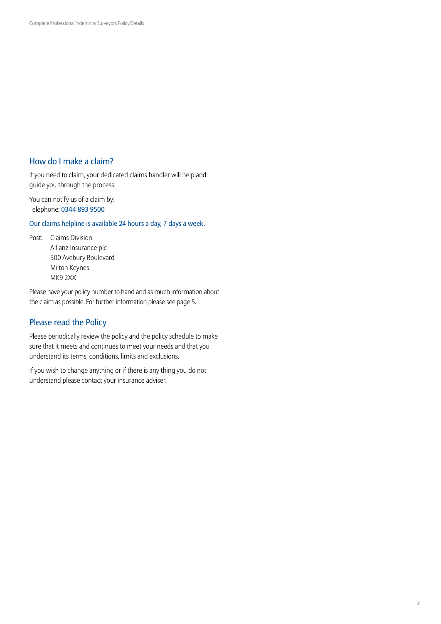## How do I make a claim?

If you need to claim, your dedicated claims handler will help and guide you through the process.

You can notify us of a claim by: Telephone: 0344 893 9500

Our claims helpline is available 24 hours a day, 7 days a week.

Post: Claims Division Allianz Insurance plc 500 Avebury Boulevard Milton Keynes MK9 2XX

Please have your policy number to hand and as much information about the claim as possible. For further information please see page 5.

## Please read the Policy

Please periodically review the policy and the policy schedule to make sure that it meets and continues to meet your needs and that you understand its terms, conditions, limits and exclusions.

If you wish to change anything or if there is any thing you do not understand please contact your insurance adviser.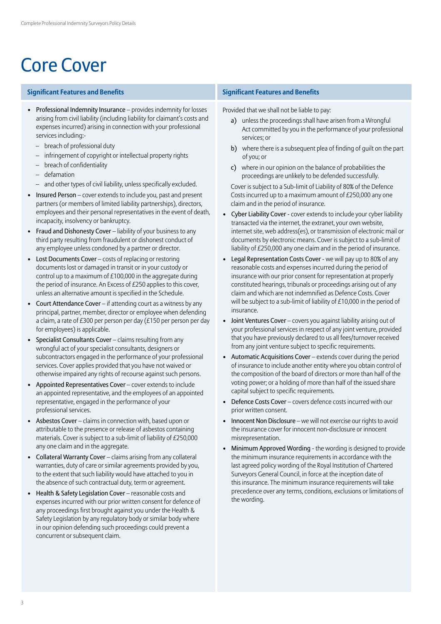# Core Cover

### **Significant Features and Benefits Significant Features and Benefits**

- Professional Indemnity Insurance provides indemnity for losses arising from civil liability (including liability for claimant's costs and expenses incurred) arising in connection with your professional services including:-
	- breach of professional duty
	- infringement of copyright or intellectual property rights
	- breach of confidentiality
	- defamation
	- and other types of civil liability, unless specifically excluded.
- Insured Person cover extends to include you, past and present partners (or members of limited liability partnerships), directors, employees and their personal representatives in the event of death, incapacity, insolvency or bankruptcy.
- Fraud and Dishonesty Cover liability of your business to any third party resulting from fraudulent or dishonest conduct of any employee unless condoned by a partner or director.
- Lost Documents Cover costs of replacing or restoring documents lost or damaged in transit or in your custody or control up to a maximum of  $£100,000$  in the aggregate during the period of insurance. An Excess of £250 applies to this cover, unless an alternative amount is specified in the Schedule.
- Court Attendance Cover if attending court as a witness by any principal, partner, member, director or employee when defending a claim, a rate of £300 per person per day (£150 per person per day for employees) is applicable.
- Specialist Consultants Cover claims resulting from any wrongful act of your specialist consultants, designers or subcontractors engaged in the performance of your professional services. Cover applies provided that you have not waived or otherwise impaired any rights of recourse against such persons.
- Appointed Representatives Cover cover extends to include an appointed representative, and the employees of an appointed representative, engaged in the performance of your professional services.
- Asbestos Cover claims in connection with, based upon or attributable to the presence or release of asbestos containing materials. Cover is subject to a sub-limit of liability of £250,000 any one claim and in the aggregate.
- Collateral Warranty Cover claims arising from any collateral warranties, duty of care or similar agreements provided by you, to the extent that such liability would have attached to you in the absence of such contractual duty, term or agreement.
- Health & Safety Legislation Cover reasonable costs and expenses incurred with our prior written consent for defence of any proceedings first brought against you under the Health & Safety Legislation by any regulatory body or similar body where in our opinion defending such proceedings could prevent a concurrent or subsequent claim.

Provided that we shall not be liable to pay:

- a) unless the proceedings shall have arisen from a Wrongful Act committed by you in the performance of your professional services; or
- b) where there is a subsequent plea of finding of quilt on the part of you; or
- c) where in our opinion on the balance of probabilities the proceedings are unlikely to be defended successfully.

Cover is subject to a Sub-limit of Liability of 80% of the Defence Costs incurred up to a maximum amount of £250,000 any one claim and in the period of insurance.

- Cyber Liability Cover cover extends to include your cyber liability transacted via the internet, the extranet, your own website, internet site, web address(es), or transmission of electronic mail or documents by electronic means. Cover is subject to a sub-limit of liability of £250,000 any one claim and in the period of insurance.
- Legal Representation Costs Cover we will pay up to 80% of any reasonable costs and expenses incurred during the period of insurance with our prior consent for representation at properly constituted hearings, tribunals or proceedings arising out of any claim and which are not indemnified as Defence Costs. Cover will be subject to a sub-limit of liability of £10,000 in the period of insurance.
- Joint Ventures Cover covers you against liability arising out of your professional services in respect of any joint venture, provided that you have previously declared to us all fees/turnover received from any joint venture subject to specific requirements.
- Automatic Acquisitions Cover extends cover during the period of insurance to include another entity where you obtain control of the composition of the board of directors or more than half of the voting power; or a holding of more than half of the issued share capital subject to specific requirements.
- Defence Costs Cover covers defence costs incurred with our prior written consent.
- Innocent Non Disclosure we will not exercise our rights to avoid the insurance cover for innocent non-disclosure or innocent misrepresentation.
- Minimum Approved Wording the wording is designed to provide the minimum insurance requirements in accordance with the last agreed policy wording of the Royal Institution of Chartered Surveyors General Council, in force at the inception date of this insurance. The minimum insurance requirements will take precedence over any terms, conditions, exclusions or limitations of the wording.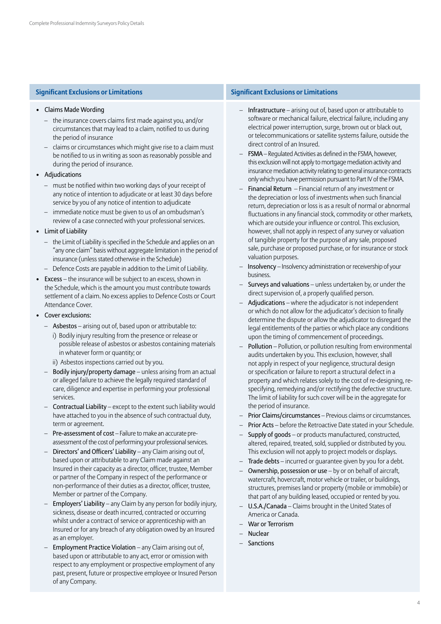### • Claims Made Wording

- the insurance covers claims first made against you, and/or circumstances that may lead to a claim, notified to us during the period of insurance
- claims or circumstances which might give rise to a claim must be notified to us in writing as soon as reasonably possible and during the period of insurance.
- Adjudications
	- must be notified within two working days of your receipt of any notice of intention to adjudicate or at least 30 days before service by you of any notice of intention to adjudicate
	- immediate notice must be given to us of an ombudsman's review of a case connected with your professional services.

### • Limit of Liability

- the Limit of Liability is specified in the Schedule and applies on an "any one claim" basis without aggregate limitation in the period of insurance (unless stated otherwise in the Schedule)
- Defence Costs are payable in addition to the Limit of Liability.
- Excess the insurance will be subject to an excess, shown in the Schedule, which is the amount you must contribute towards settlement of a claim. No excess applies to Defence Costs or Court Attendance Cover.
- Cover exclusions:
	- Asbestos arising out of, based upon or attributable to:
		- i) Bodily injury resulting from the presence or release or possible release of asbestos or asbestos containing materials in whatever form or quantity; or
		- ii) Asbestos inspections carried out by you.
	- Bodily injury/property damage unless arising from an actual or alleged failure to achieve the legally required standard of care, diligence and expertise in performing your professional services.
	- Contractual Liability except to the extent such liability would have attached to you in the absence of such contractual duty, term or agreement.
	- Pre-assessment of cost Failure to make an accurate preassessment of the cost of performing your professional services.
	- Directors' and Officers' Liability any Claim arising out of, based upon or attributable to any Claim made against an Insured in their capacity as a director, officer, trustee, Member or partner of the Company in respect of the performance or non-performance of their duties as a director, officer, trustee, Member or partner of the Company.
	- Employers' Liability any Claim by any person for bodily injury, sickness, disease or death incurred, contracted or occurring whilst under a contract of service or apprenticeship with an Insured or for any breach of any obligation owed by an Insured as an employer.
	- Employment Practice Violation any Claim arising out of, based upon or attributable to any act, error or omission with respect to any employment or prospective employment of any past, present, future or prospective employee or Insured Person of any Company.

### **Significant Exclusions or Limitations Significant Exclusions or Limitations**

- Infrastructure arising out of, based upon or attributable to software or mechanical failure, electrical failure, including any electrical power interruption, surge, brown out or black out, or telecommunications or satellite systems failure, outside the direct control of an Insured.
- FSMA Regulated Activities as defined in the FSMA, however, this exclusion will not apply to mortgage mediation activity and insurance mediation activity relating to general insurance contracts only which you have permission pursuant to Part IV of the FSMA.
- Financial Return Financial return of any investment or the depreciation or loss of investments when such financial return, depreciation or loss is as a result of normal or abnormal fluctuations in any financial stock, commodity or other markets, which are outside your influence or control. This exclusion, however, shall not apply in respect of any survey or valuation of tangible property for the purpose of any sale, proposed sale, purchase or proposed purchase, or for insurance or stock valuation purposes.
- Insolvency Insolvency administration or receivership of your business.
- Surveys and valuations unless undertaken by, or under the direct supervision of, a properly qualified person.
- Adjudications where the adjudicator is not independent or which do not allow for the adjudicator's decision to finally determine the dispute or allow the adjudicator to disregard the legal entitlements of the parties or which place any conditions upon the timing of commencement of proceedings.
- Pollution Pollution, or pollution resulting from environmental audits undertaken by you. This exclusion, however, shall not apply in respect of your negligence, structural design or specification or failure to report a structural defect in a property and which relates solely to the cost of re-designing, respecifying, remedying and/or rectifying the defective structure. The limit of liability for such cover will be in the aggregate for the period of insurance.
- Prior Claims/circumstances Previous claims or circumstances.
- Prior Acts before the Retroactive Date stated in your Schedule.
- Supply of goods or products manufactured, constructed, altered, repaired, treated, sold, supplied or distributed by you. This exclusion will not apply to project models or displays.
- Trade debts incurred or quarantee given by you for a debt.
- Ownership, possession or use  $-$  by or on behalf of aircraft, watercraft, hovercraft, motor vehicle or trailer, or buildings, structures, premises land or property (mobile or immobile) or that part of any building leased, occupied or rented by you.
- U.S.A./Canada Claims brought in the United States of America or Canada.
- War or Terrorism
- Nuclear
- Sanctions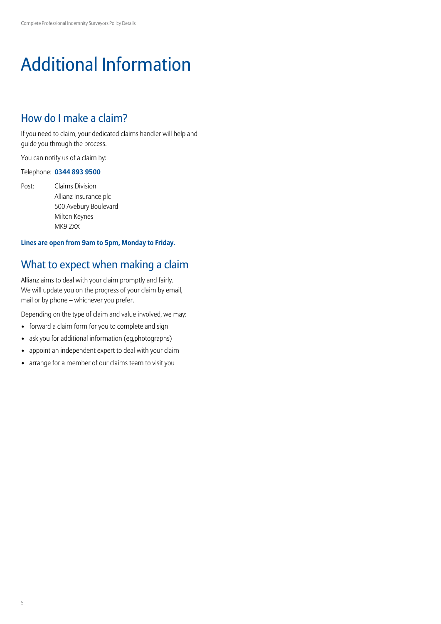# Additional Information

## How do I make a claim?

If you need to claim, your dedicated claims handler will help and guide you through the process.

You can notify us of a claim by:

### Telephone: **0344 893 9500**

Post: Claims Division Allianz Insurance plc 500 Avebury Boulevard Milton Keynes MK9 2XX

## **Lines are open from 9am to 5pm, Monday to Friday.**

## What to expect when making a claim

Allianz aims to deal with your claim promptly and fairly. We will update you on the progress of your claim by email, mail or by phone – whichever you prefer.

Depending on the type of claim and value involved, we may:

- forward a claim form for you to complete and sign
- ask you for additional information (eg,photographs)
- appoint an independent expert to deal with your claim
- arrange for a member of our claims team to visit you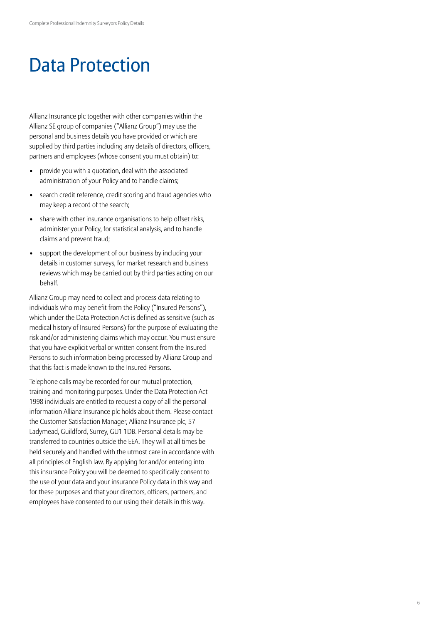# Data Protection

Allianz Insurance plc together with other companies within the Allianz SE group of companies ("Allianz Group") may use the personal and business details you have provided or which are supplied by third parties including any details of directors, officers, partners and employees (whose consent you must obtain) to:

- provide you with a quotation, deal with the associated administration of your Policy and to handle claims;
- search credit reference, credit scoring and fraud agencies who may keep a record of the search;
- share with other insurance organisations to help offset risks, administer your Policy, for statistical analysis, and to handle claims and prevent fraud;
- support the development of our business by including your details in customer surveys, for market research and business reviews which may be carried out by third parties acting on our behalf.

Allianz Group may need to collect and process data relating to individuals who may benefit from the Policy ("Insured Persons"), which under the Data Protection Act is defined as sensitive (such as medical history of Insured Persons) for the purpose of evaluating the risk and/or administering claims which may occur. You must ensure that you have explicit verbal or written consent from the Insured Persons to such information being processed by Allianz Group and that this fact is made known to the Insured Persons.

Telephone calls may be recorded for our mutual protection, training and monitoring purposes. Under the Data Protection Act 1998 individuals are entitled to request a copy of all the personal information Allianz Insurance plc holds about them. Please contact the Customer Satisfaction Manager, Allianz Insurance plc, 57 Ladymead, Guildford, Surrey, GU1 1DB. Personal details may be transferred to countries outside the EEA. They will at all times be held securely and handled with the utmost care in accordance with all principles of English law. By applying for and/or entering into this insurance Policy you will be deemed to specifically consent to the use of your data and your insurance Policy data in this way and for these purposes and that your directors, officers, partners, and employees have consented to our using their details in this way.